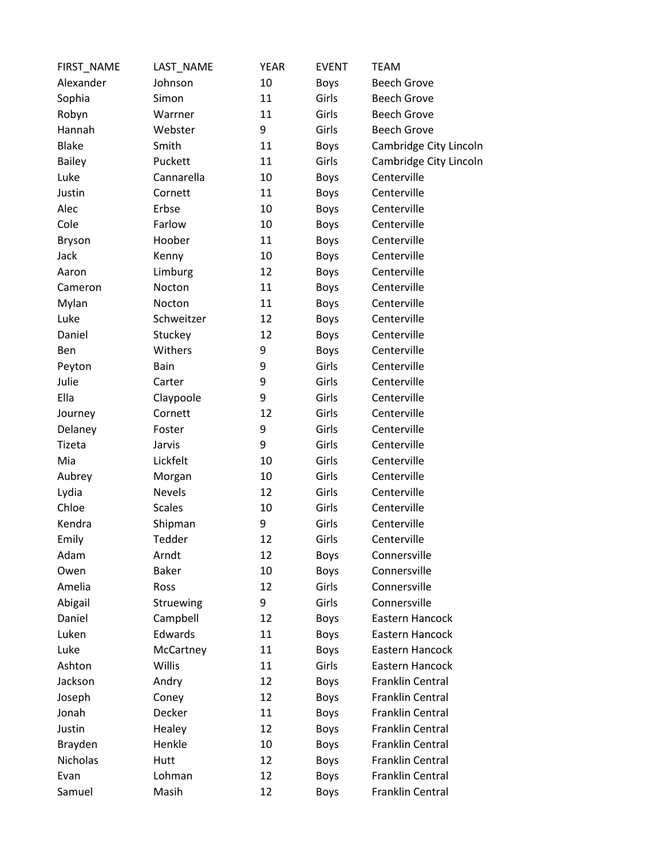| FIRST_NAME    | LAST NAME     | <b>YEAR</b> | <b>EVENT</b> | <b>TEAM</b>             |
|---------------|---------------|-------------|--------------|-------------------------|
| Alexander     | Johnson       | 10          | Boys         | <b>Beech Grove</b>      |
| Sophia        | Simon         | 11          | Girls        | <b>Beech Grove</b>      |
| Robyn         | Warrner       | 11          | Girls        | <b>Beech Grove</b>      |
| Hannah        | Webster       | 9           | Girls        | <b>Beech Grove</b>      |
| <b>Blake</b>  | Smith         | 11          | <b>Boys</b>  | Cambridge City Lincoln  |
| <b>Bailey</b> | Puckett       | 11          | Girls        | Cambridge City Lincoln  |
| Luke          | Cannarella    | 10          | <b>Boys</b>  | Centerville             |
| Justin        | Cornett       | 11          | <b>Boys</b>  | Centerville             |
| Alec          | Erbse         | 10          | <b>Boys</b>  | Centerville             |
| Cole          | Farlow        | 10          | <b>Boys</b>  | Centerville             |
| <b>Bryson</b> | Hoober        | 11          | <b>Boys</b>  | Centerville             |
| Jack          | Kenny         | 10          | <b>Boys</b>  | Centerville             |
| Aaron         | Limburg       | 12          | <b>Boys</b>  | Centerville             |
| Cameron       | Nocton        | 11          | Boys         | Centerville             |
| Mylan         | Nocton        | 11          | <b>Boys</b>  | Centerville             |
| Luke          | Schweitzer    | 12          | <b>Boys</b>  | Centerville             |
| Daniel        | Stuckey       | 12          | <b>Boys</b>  | Centerville             |
| Ben           | Withers       | 9           | Boys         | Centerville             |
| Peyton        | Bain          | 9           | Girls        | Centerville             |
| Julie         | Carter        | 9           | Girls        | Centerville             |
| Ella          | Claypoole     | 9           | Girls        | Centerville             |
| Journey       | Cornett       | 12          | Girls        | Centerville             |
| Delaney       | Foster        | 9           | Girls        | Centerville             |
| Tizeta        | Jarvis        | 9           | Girls        | Centerville             |
| Mia           | Lickfelt      | 10          | Girls        | Centerville             |
| Aubrey        | Morgan        | 10          | Girls        | Centerville             |
| Lydia         | <b>Nevels</b> | 12          | Girls        | Centerville             |
| Chloe         | <b>Scales</b> | 10          | Girls        | Centerville             |
| Kendra        | Shipman       | 9           | Girls        | Centerville             |
| Emily         | Tedder        | 12          | Girls        | Centerville             |
| Adam          | Arndt         | 12          | <b>Boys</b>  | Connersville            |
| Owen          | <b>Baker</b>  | 10          | <b>Boys</b>  | Connersville            |
| Amelia        | Ross          | 12          | Girls        | Connersville            |
| Abigail       | Struewing     | 9           | Girls        | Connersville            |
| Daniel        | Campbell      | 12          | <b>Boys</b>  | Eastern Hancock         |
| Luken         | Edwards       | 11          | <b>Boys</b>  | Eastern Hancock         |
| Luke          | McCartney     | 11          | <b>Boys</b>  | Eastern Hancock         |
| Ashton        | Willis        | 11          | Girls        | Eastern Hancock         |
| Jackson       | Andry         | 12          | <b>Boys</b>  | Franklin Central        |
| Joseph        | Coney         | 12          | Boys         | <b>Franklin Central</b> |
| Jonah         | Decker        | 11          | <b>Boys</b>  | <b>Franklin Central</b> |
| Justin        | Healey        | 12          | <b>Boys</b>  | Franklin Central        |
| Brayden       | Henkle        | 10          | <b>Boys</b>  | Franklin Central        |
| Nicholas      | Hutt          | 12          | <b>Boys</b>  | <b>Franklin Central</b> |
| Evan          | Lohman        | 12          | <b>Boys</b>  | <b>Franklin Central</b> |
| Samuel        | Masih         | 12          | <b>Boys</b>  | Franklin Central        |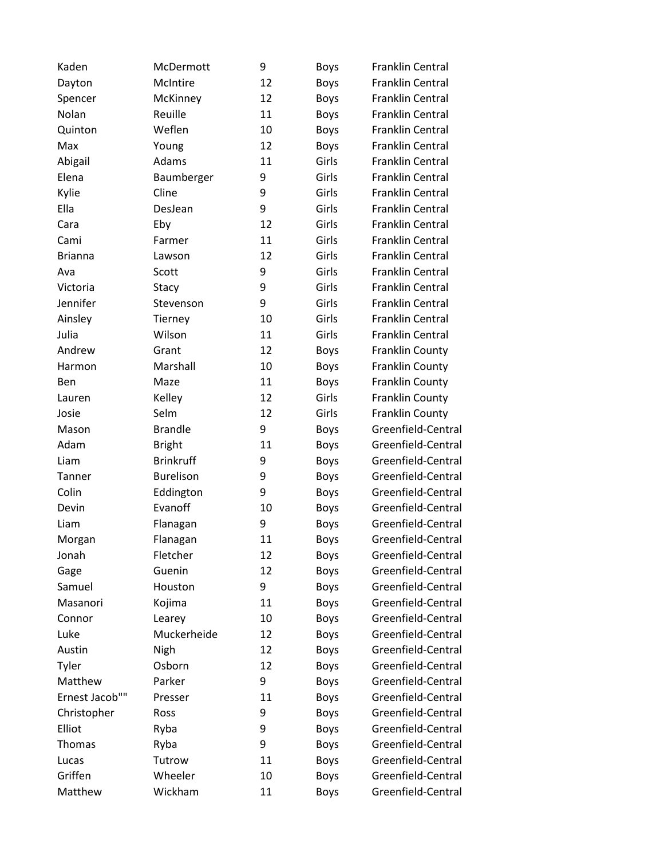| Kaden          | McDermott        | 9  | <b>Boys</b> | Franklin Central        |
|----------------|------------------|----|-------------|-------------------------|
| Dayton         | McIntire         | 12 | <b>Boys</b> | Franklin Central        |
| Spencer        | McKinney         | 12 | <b>Boys</b> | <b>Franklin Central</b> |
| Nolan          | Reuille          | 11 | <b>Boys</b> | <b>Franklin Central</b> |
| Quinton        | Weflen           | 10 | <b>Boys</b> | Franklin Central        |
| Max            | Young            | 12 | <b>Boys</b> | <b>Franklin Central</b> |
| Abigail        | Adams            | 11 | Girls       | <b>Franklin Central</b> |
| Elena          | Baumberger       | 9  | Girls       | <b>Franklin Central</b> |
| Kylie          | Cline            | 9  | Girls       | <b>Franklin Central</b> |
| Ella           | DesJean          | 9  | Girls       | <b>Franklin Central</b> |
| Cara           | Eby              | 12 | Girls       | <b>Franklin Central</b> |
| Cami           | Farmer           | 11 | Girls       | <b>Franklin Central</b> |
| <b>Brianna</b> | Lawson           | 12 | Girls       | <b>Franklin Central</b> |
| Ava            | Scott            | 9  | Girls       | <b>Franklin Central</b> |
| Victoria       | Stacy            | 9  | Girls       | <b>Franklin Central</b> |
| Jennifer       | Stevenson        | 9  | Girls       | <b>Franklin Central</b> |
| Ainsley        | Tierney          | 10 | Girls       | Franklin Central        |
| Julia          | Wilson           | 11 | Girls       | <b>Franklin Central</b> |
| Andrew         | Grant            | 12 | Boys        | Franklin County         |
| Harmon         | Marshall         | 10 | <b>Boys</b> | Franklin County         |
| <b>Ben</b>     | Maze             | 11 | <b>Boys</b> | Franklin County         |
| Lauren         | Kelley           | 12 | Girls       | Franklin County         |
| Josie          | Selm             | 12 | Girls       | <b>Franklin County</b>  |
| Mason          | <b>Brandle</b>   | 9  | Boys        | Greenfield-Central      |
| Adam           | <b>Bright</b>    | 11 | <b>Boys</b> | Greenfield-Central      |
| Liam           | <b>Brinkruff</b> | 9  | <b>Boys</b> | Greenfield-Central      |
| Tanner         | <b>Burelison</b> | 9  | <b>Boys</b> | Greenfield-Central      |
| Colin          | Eddington        | 9  | Boys        | Greenfield-Central      |
| Devin          | Evanoff          | 10 | <b>Boys</b> | Greenfield-Central      |
| Liam           | Flanagan         | 9  | <b>Boys</b> | Greenfield-Central      |
| Morgan         | Flanagan         | 11 | <b>Boys</b> | Greenfield-Central      |
| Jonah          | Fletcher         | 12 | <b>Boys</b> | Greenfield-Central      |
| Gage           | Guenin           | 12 | <b>Boys</b> | Greenfield-Central      |
| Samuel         | Houston          | 9  | <b>Boys</b> | Greenfield-Central      |
| Masanori       | Kojima           | 11 | <b>Boys</b> | Greenfield-Central      |
| Connor         | Learey           | 10 | <b>Boys</b> | Greenfield-Central      |
| Luke           | Muckerheide      | 12 | <b>Boys</b> | Greenfield-Central      |
| Austin         | Nigh             | 12 | <b>Boys</b> | Greenfield-Central      |
| Tyler          | Osborn           | 12 | <b>Boys</b> | Greenfield-Central      |
| Matthew        | Parker           | 9  | <b>Boys</b> | Greenfield-Central      |
| Ernest Jacob"" | Presser          | 11 | <b>Boys</b> | Greenfield-Central      |
| Christopher    | Ross             | 9  | Boys        | Greenfield-Central      |
| Elliot         | Ryba             | 9  | <b>Boys</b> | Greenfield-Central      |
| Thomas         | Ryba             | 9  | <b>Boys</b> | Greenfield-Central      |
| Lucas          | Tutrow           | 11 | <b>Boys</b> | Greenfield-Central      |
| Griffen        | Wheeler          | 10 | <b>Boys</b> | Greenfield-Central      |
| Matthew        | Wickham          | 11 | <b>Boys</b> | Greenfield-Central      |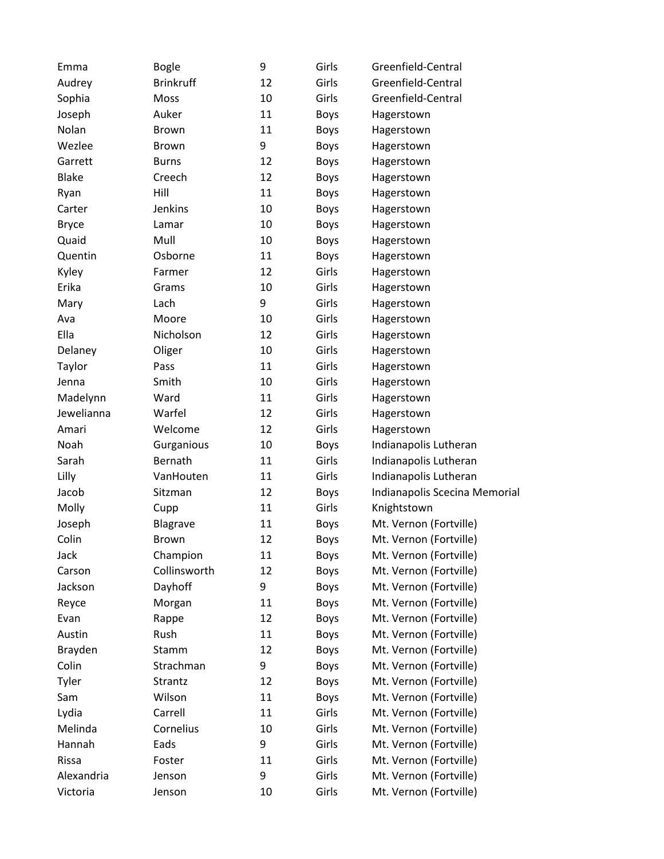| Emma         | <b>Bogle</b>     | 9  | Girls       | Greenfield-Central            |
|--------------|------------------|----|-------------|-------------------------------|
| Audrey       | <b>Brinkruff</b> | 12 | Girls       | Greenfield-Central            |
| Sophia       | Moss             | 10 | Girls       | Greenfield-Central            |
| Joseph       | Auker            | 11 | <b>Boys</b> | Hagerstown                    |
| Nolan        | <b>Brown</b>     | 11 | <b>Boys</b> | Hagerstown                    |
| Wezlee       | <b>Brown</b>     | 9  | <b>Boys</b> | Hagerstown                    |
| Garrett      | <b>Burns</b>     | 12 | <b>Boys</b> | Hagerstown                    |
| <b>Blake</b> | Creech           | 12 | <b>Boys</b> | Hagerstown                    |
| Ryan         | Hill             | 11 | <b>Boys</b> | Hagerstown                    |
| Carter       | Jenkins          | 10 | <b>Boys</b> | Hagerstown                    |
| <b>Bryce</b> | Lamar            | 10 | <b>Boys</b> | Hagerstown                    |
| Quaid        | Mull             | 10 | <b>Boys</b> | Hagerstown                    |
| Quentin      | Osborne          | 11 | <b>Boys</b> | Hagerstown                    |
| Kyley        | Farmer           | 12 | Girls       | Hagerstown                    |
| Erika        | Grams            | 10 | Girls       | Hagerstown                    |
| Mary         | Lach             | 9  | Girls       | Hagerstown                    |
| Ava          | Moore            | 10 | Girls       | Hagerstown                    |
| Ella         | Nicholson        | 12 | Girls       | Hagerstown                    |
| Delaney      | Oliger           | 10 | Girls       | Hagerstown                    |
| Taylor       | Pass             | 11 | Girls       | Hagerstown                    |
| Jenna        | Smith            | 10 | Girls       | Hagerstown                    |
| Madelynn     | Ward             | 11 | Girls       | Hagerstown                    |
| Jewelianna   | Warfel           | 12 | Girls       | Hagerstown                    |
| Amari        | Welcome          | 12 | Girls       | Hagerstown                    |
| Noah         | Gurganious       | 10 | <b>Boys</b> | Indianapolis Lutheran         |
| Sarah        | Bernath          | 11 | Girls       | Indianapolis Lutheran         |
| Lilly        | VanHouten        | 11 | Girls       | Indianapolis Lutheran         |
| Jacob        | Sitzman          | 12 | <b>Boys</b> | Indianapolis Scecina Memorial |
| Molly        | Cupp             | 11 | Girls       | Knightstown                   |
| Joseph       | Blagrave         | 11 | <b>Boys</b> | Mt. Vernon (Fortville)        |
| Colin        | <b>Brown</b>     | 12 | <b>Boys</b> | Mt. Vernon (Fortville)        |
| Jack         | Champion         | 11 | <b>Boys</b> | Mt. Vernon (Fortville)        |
| Carson       | Collinsworth     | 12 | <b>Boys</b> | Mt. Vernon (Fortville)        |
| Jackson      | Dayhoff          | 9  | <b>Boys</b> | Mt. Vernon (Fortville)        |
| Reyce        | Morgan           | 11 | <b>Boys</b> | Mt. Vernon (Fortville)        |
| Evan         | Rappe            | 12 | <b>Boys</b> | Mt. Vernon (Fortville)        |
| Austin       | Rush             | 11 | <b>Boys</b> | Mt. Vernon (Fortville)        |
| Brayden      | Stamm            | 12 | <b>Boys</b> | Mt. Vernon (Fortville)        |
| Colin        | Strachman        | 9  | <b>Boys</b> | Mt. Vernon (Fortville)        |
| Tyler        | Strantz          | 12 | <b>Boys</b> | Mt. Vernon (Fortville)        |
| Sam          | Wilson           | 11 | <b>Boys</b> | Mt. Vernon (Fortville)        |
| Lydia        | Carrell          | 11 | Girls       | Mt. Vernon (Fortville)        |
| Melinda      | Cornelius        | 10 | Girls       | Mt. Vernon (Fortville)        |
| Hannah       | Eads             | 9  | Girls       | Mt. Vernon (Fortville)        |
| Rissa        | Foster           | 11 | Girls       | Mt. Vernon (Fortville)        |
| Alexandria   | Jenson           | 9  | Girls       | Mt. Vernon (Fortville)        |
| Victoria     | Jenson           | 10 | Girls       | Mt. Vernon (Fortville)        |
|              |                  |    |             |                               |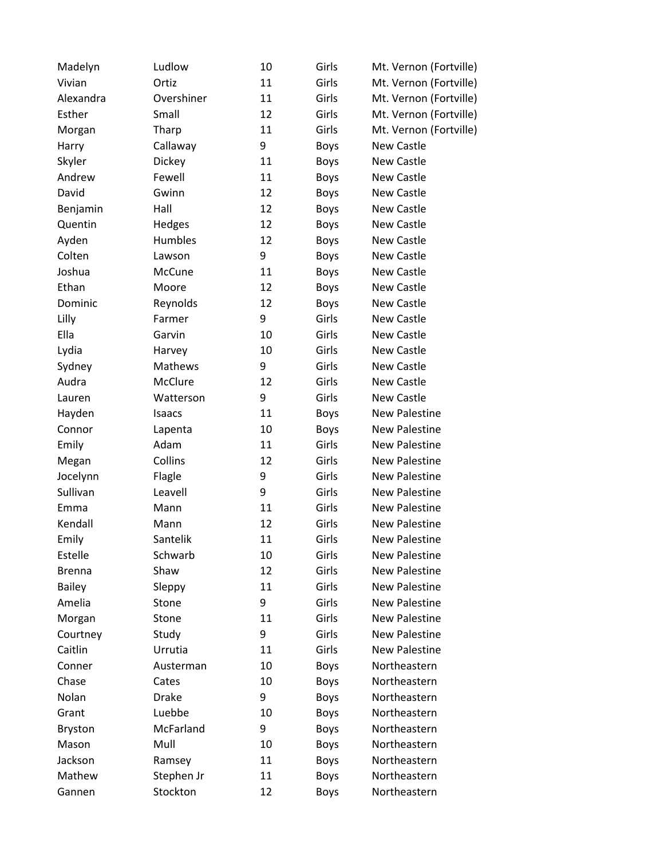| Madelyn       | Ludlow       | 10 | Girls       | Mt. Vernon (Fortville) |
|---------------|--------------|----|-------------|------------------------|
| Vivian        | Ortiz        | 11 | Girls       | Mt. Vernon (Fortville) |
| Alexandra     | Overshiner   | 11 | Girls       | Mt. Vernon (Fortville) |
| Esther        | Small        | 12 | Girls       | Mt. Vernon (Fortville) |
| Morgan        | Tharp        | 11 | Girls       | Mt. Vernon (Fortville) |
| Harry         | Callaway     | 9  | <b>Boys</b> | New Castle             |
| Skyler        | Dickey       | 11 | Boys        | New Castle             |
| Andrew        | Fewell       | 11 | <b>Boys</b> | New Castle             |
| David         | Gwinn        | 12 | <b>Boys</b> | New Castle             |
| Benjamin      | Hall         | 12 | <b>Boys</b> | New Castle             |
| Quentin       | Hedges       | 12 | <b>Boys</b> | New Castle             |
| Ayden         | Humbles      | 12 | <b>Boys</b> | New Castle             |
| Colten        | Lawson       | 9  | <b>Boys</b> | <b>New Castle</b>      |
| Joshua        | McCune       | 11 | <b>Boys</b> | <b>New Castle</b>      |
| Ethan         | Moore        | 12 | <b>Boys</b> | <b>New Castle</b>      |
| Dominic       | Reynolds     | 12 | <b>Boys</b> | <b>New Castle</b>      |
| Lilly         | Farmer       | 9  | Girls       | <b>New Castle</b>      |
| Ella          | Garvin       | 10 | Girls       | <b>New Castle</b>      |
| Lydia         | Harvey       | 10 | Girls       | New Castle             |
| Sydney        | Mathews      | 9  | Girls       | New Castle             |
| Audra         | McClure      | 12 | Girls       | New Castle             |
| Lauren        | Watterson    | 9  | Girls       | <b>New Castle</b>      |
| Hayden        | Isaacs       | 11 | <b>Boys</b> | <b>New Palestine</b>   |
| Connor        | Lapenta      | 10 | <b>Boys</b> | <b>New Palestine</b>   |
| Emily         | Adam         | 11 | Girls       | <b>New Palestine</b>   |
| Megan         | Collins      | 12 | Girls       | <b>New Palestine</b>   |
| Jocelynn      | Flagle       | 9  | Girls       | New Palestine          |
| Sullivan      | Leavell      | 9  | Girls       | <b>New Palestine</b>   |
| Emma          | Mann         | 11 | Girls       | <b>New Palestine</b>   |
| Kendall       | Mann         | 12 | Girls       | <b>New Palestine</b>   |
| Emily         | Santelik     | 11 | Girls       | <b>New Palestine</b>   |
| Estelle       | Schwarb      | 10 | Girls       | <b>New Palestine</b>   |
| <b>Brenna</b> | Shaw         | 12 | Girls       | <b>New Palestine</b>   |
| <b>Bailey</b> | Sleppy       | 11 | Girls       | <b>New Palestine</b>   |
| Amelia        | Stone        | 9  | Girls       | <b>New Palestine</b>   |
| Morgan        | Stone        | 11 | Girls       | <b>New Palestine</b>   |
| Courtney      | Study        | 9  | Girls       | <b>New Palestine</b>   |
| Caitlin       | Urrutia      | 11 | Girls       | New Palestine          |
| Conner        | Austerman    | 10 | <b>Boys</b> | Northeastern           |
| Chase         | Cates        | 10 | <b>Boys</b> | Northeastern           |
| Nolan         | <b>Drake</b> | 9  | <b>Boys</b> | Northeastern           |
| Grant         | Luebbe       | 10 | <b>Boys</b> | Northeastern           |
| Bryston       | McFarland    | 9  | <b>Boys</b> | Northeastern           |
| Mason         | Mull         | 10 | <b>Boys</b> | Northeastern           |
| Jackson       | Ramsey       | 11 | Boys        | Northeastern           |
| Mathew        | Stephen Jr   | 11 | <b>Boys</b> | Northeastern           |
| Gannen        | Stockton     | 12 | <b>Boys</b> | Northeastern           |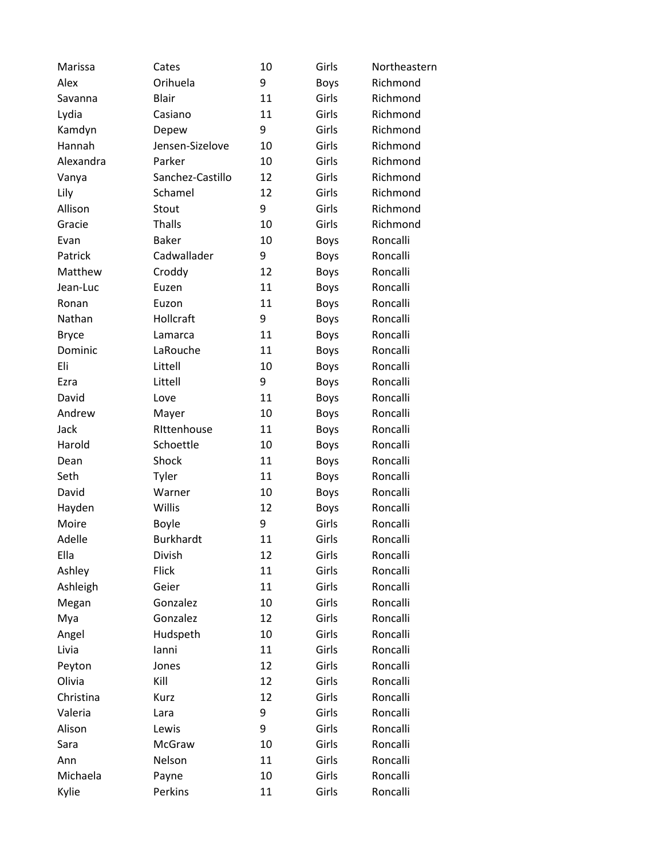| Marissa      | Cates            | 10 | Girls       | Northeastern |
|--------------|------------------|----|-------------|--------------|
| Alex         | Orihuela         | 9  | <b>Boys</b> | Richmond     |
| Savanna      | Blair            | 11 | Girls       | Richmond     |
| Lydia        | Casiano          | 11 | Girls       | Richmond     |
| Kamdyn       | Depew            | 9  | Girls       | Richmond     |
| Hannah       | Jensen-Sizelove  | 10 | Girls       | Richmond     |
| Alexandra    | Parker           | 10 | Girls       | Richmond     |
| Vanya        | Sanchez-Castillo | 12 | Girls       | Richmond     |
| Lily         | Schamel          | 12 | Girls       | Richmond     |
| Allison      | Stout            | 9  | Girls       | Richmond     |
| Gracie       | <b>Thalls</b>    | 10 | Girls       | Richmond     |
| Evan         | <b>Baker</b>     | 10 | <b>Boys</b> | Roncalli     |
| Patrick      | Cadwallader      | 9  | <b>Boys</b> | Roncalli     |
| Matthew      | Croddy           | 12 | <b>Boys</b> | Roncalli     |
| Jean-Luc     | Euzen            | 11 | <b>Boys</b> | Roncalli     |
| Ronan        | Euzon            | 11 | <b>Boys</b> | Roncalli     |
| Nathan       | Hollcraft        | 9  | <b>Boys</b> | Roncalli     |
| <b>Bryce</b> | Lamarca          | 11 | <b>Boys</b> | Roncalli     |
| Dominic      | LaRouche         | 11 | <b>Boys</b> | Roncalli     |
| Eli          | Littell          | 10 | <b>Boys</b> | Roncalli     |
| Ezra         | Littell          | 9  | <b>Boys</b> | Roncalli     |
| David        | Love             | 11 | <b>Boys</b> | Roncalli     |
| Andrew       | Mayer            | 10 | <b>Boys</b> | Roncalli     |
| Jack         | Rittenhouse      | 11 | <b>Boys</b> | Roncalli     |
| Harold       | Schoettle        | 10 | <b>Boys</b> | Roncalli     |
| Dean         | Shock            | 11 | <b>Boys</b> | Roncalli     |
| Seth         | Tyler            | 11 | <b>Boys</b> | Roncalli     |
| David        | Warner           | 10 | <b>Boys</b> | Roncalli     |
| Hayden       | Willis           | 12 | <b>Boys</b> | Roncalli     |
| Moire        | <b>Boyle</b>     | 9  | Girls       | Roncalli     |
| Adelle       | <b>Burkhardt</b> | 11 | Girls       | Roncalli     |
| Ella         | Divish           | 12 | Girls       | Roncalli     |
| Ashley       | <b>Flick</b>     | 11 | Girls       | Roncalli     |
| Ashleigh     | Geier            | 11 | Girls       | Roncalli     |
| Megan        | Gonzalez         | 10 | Girls       | Roncalli     |
| Mya          | Gonzalez         | 12 | Girls       | Roncalli     |
| Angel        | Hudspeth         | 10 | Girls       | Roncalli     |
| Livia        | lanni            | 11 | Girls       | Roncalli     |
| Peyton       | Jones            | 12 | Girls       | Roncalli     |
| Olivia       | Kill             | 12 | Girls       | Roncalli     |
| Christina    | Kurz             | 12 | Girls       | Roncalli     |
| Valeria      | Lara             | 9  | Girls       | Roncalli     |
| Alison       | Lewis            | 9  | Girls       | Roncalli     |
| Sara         | McGraw           | 10 | Girls       | Roncalli     |
| Ann          | Nelson           | 11 | Girls       | Roncalli     |
| Michaela     | Payne            | 10 | Girls       | Roncalli     |
| Kylie        | Perkins          | 11 | Girls       | Roncalli     |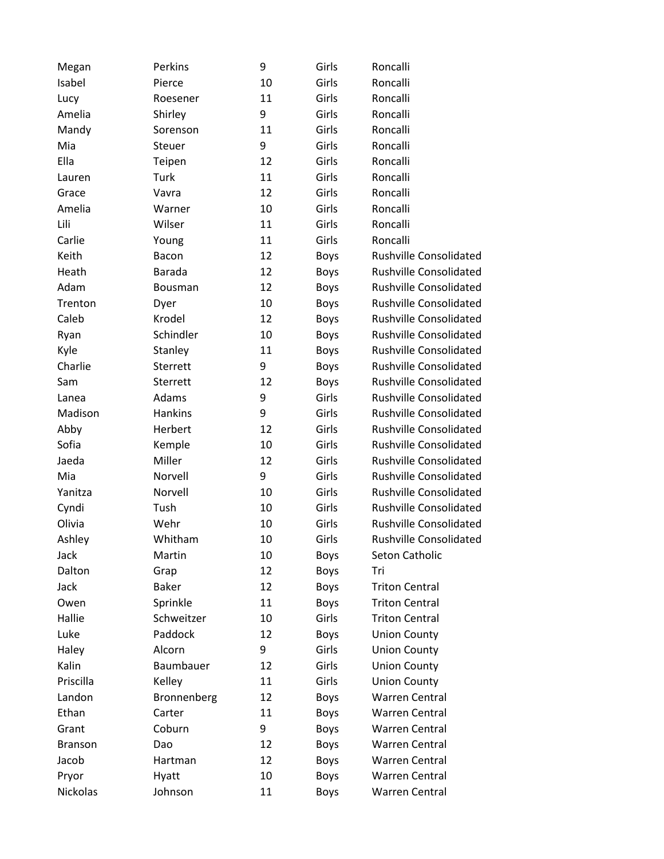| Megan          | Perkins        | 9  | Girls       | Roncalli                      |
|----------------|----------------|----|-------------|-------------------------------|
| Isabel         | Pierce         | 10 | Girls       | Roncalli                      |
| Lucy           | Roesener       | 11 | Girls       | Roncalli                      |
| Amelia         | Shirley        | 9  | Girls       | Roncalli                      |
| Mandy          | Sorenson       | 11 | Girls       | Roncalli                      |
| Mia            | Steuer         | 9  | Girls       | Roncalli                      |
| Ella           | Teipen         | 12 | Girls       | Roncalli                      |
| Lauren         | Turk           | 11 | Girls       | Roncalli                      |
| Grace          | Vavra          | 12 | Girls       | Roncalli                      |
| Amelia         | Warner         | 10 | Girls       | Roncalli                      |
| Lili           | Wilser         | 11 | Girls       | Roncalli                      |
| Carlie         | Young          | 11 | Girls       | Roncalli                      |
| Keith          | Bacon          | 12 | <b>Boys</b> | <b>Rushville Consolidated</b> |
| Heath          | <b>Barada</b>  | 12 | <b>Boys</b> | <b>Rushville Consolidated</b> |
| Adam           | <b>Bousman</b> | 12 | <b>Boys</b> | <b>Rushville Consolidated</b> |
| Trenton        | Dyer           | 10 | <b>Boys</b> | <b>Rushville Consolidated</b> |
| Caleb          | Krodel         | 12 | <b>Boys</b> | <b>Rushville Consolidated</b> |
| Ryan           | Schindler      | 10 | <b>Boys</b> | <b>Rushville Consolidated</b> |
| Kyle           | Stanley        | 11 | <b>Boys</b> | <b>Rushville Consolidated</b> |
| Charlie        | Sterrett       | 9  | <b>Boys</b> | <b>Rushville Consolidated</b> |
| Sam            | Sterrett       | 12 | <b>Boys</b> | <b>Rushville Consolidated</b> |
| Lanea          | Adams          | 9  | Girls       | <b>Rushville Consolidated</b> |
| Madison        | <b>Hankins</b> | 9  | Girls       | <b>Rushville Consolidated</b> |
| Abby           | Herbert        | 12 | Girls       | <b>Rushville Consolidated</b> |
| Sofia          | Kemple         | 10 | Girls       | <b>Rushville Consolidated</b> |
| Jaeda          | Miller         | 12 | Girls       | <b>Rushville Consolidated</b> |
| Mia            | Norvell        | 9  | Girls       | <b>Rushville Consolidated</b> |
| Yanitza        | Norvell        | 10 | Girls       | <b>Rushville Consolidated</b> |
| Cyndi          | Tush           | 10 | Girls       | <b>Rushville Consolidated</b> |
| Olivia         | Wehr           | 10 | Girls       | <b>Rushville Consolidated</b> |
| Ashley         | Whitham        | 10 | Girls       | <b>Rushville Consolidated</b> |
| Jack           | Martin         | 10 | <b>Boys</b> | Seton Catholic                |
| Dalton         | Grap           | 12 | Boys        | Tri                           |
| Jack           | <b>Baker</b>   | 12 | <b>Boys</b> | <b>Triton Central</b>         |
| Owen           | Sprinkle       | 11 | <b>Boys</b> | <b>Triton Central</b>         |
| Hallie         | Schweitzer     | 10 | Girls       | <b>Triton Central</b>         |
| Luke           | Paddock        | 12 | Boys        | <b>Union County</b>           |
| Haley          | Alcorn         | 9  | Girls       | <b>Union County</b>           |
| Kalin          | Baumbauer      | 12 | Girls       | <b>Union County</b>           |
| Priscilla      | Kelley         | 11 | Girls       | <b>Union County</b>           |
| Landon         | Bronnenberg    | 12 | Boys        | <b>Warren Central</b>         |
| Ethan          | Carter         | 11 | Boys        | <b>Warren Central</b>         |
| Grant          | Coburn         | 9  | Boys        | <b>Warren Central</b>         |
| <b>Branson</b> | Dao            | 12 | <b>Boys</b> | <b>Warren Central</b>         |
| Jacob          | Hartman        | 12 | Boys        | <b>Warren Central</b>         |
| Pryor          | Hyatt          | 10 | <b>Boys</b> | <b>Warren Central</b>         |
| Nickolas       | Johnson        | 11 | Boys        | Warren Central                |